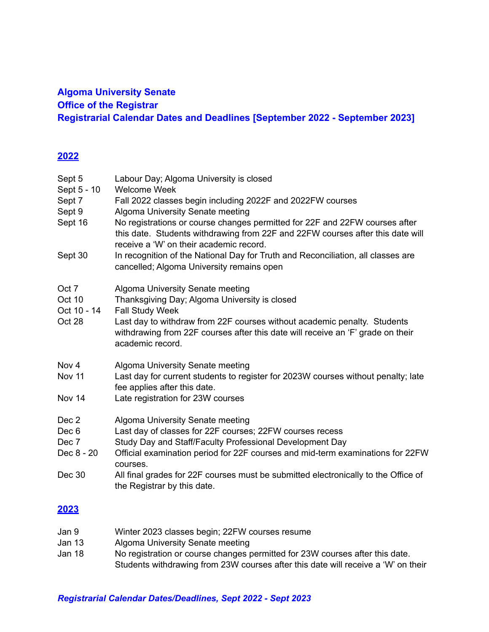## **Algoma University Senate Office of the Registrar Registrarial Calendar Dates and Deadlines [September 2022 - September 2023]**

## **2022**

| Sept 5<br>Sept 5 - 10<br>Sept 7<br>Sept 9<br>Sept 16<br>Sept 30 | Labour Day; Algoma University is closed<br><b>Welcome Week</b><br>Fall 2022 classes begin including 2022F and 2022FW courses<br>Algoma University Senate meeting<br>No registrations or course changes permitted for 22F and 22FW courses after<br>this date. Students withdrawing from 22F and 22FW courses after this date will<br>receive a 'W' on their academic record.<br>In recognition of the National Day for Truth and Reconciliation, all classes are<br>cancelled; Algoma University remains open |
|-----------------------------------------------------------------|---------------------------------------------------------------------------------------------------------------------------------------------------------------------------------------------------------------------------------------------------------------------------------------------------------------------------------------------------------------------------------------------------------------------------------------------------------------------------------------------------------------|
| Oct 7<br>Oct 10<br>Oct 10 - 14<br>Oct 28                        | Algoma University Senate meeting<br>Thanksgiving Day; Algoma University is closed<br><b>Fall Study Week</b><br>Last day to withdraw from 22F courses without academic penalty. Students<br>withdrawing from 22F courses after this date will receive an 'F' grade on their<br>academic record.                                                                                                                                                                                                                |
| Nov 4<br><b>Nov 11</b><br>Nov 14                                | Algoma University Senate meeting<br>Last day for current students to register for 2023W courses without penalty; late<br>fee applies after this date.<br>Late registration for 23W courses                                                                                                                                                                                                                                                                                                                    |
| Dec 2<br>Dec <sub>6</sub><br>Dec 7<br>Dec 8 - 20<br>Dec 30      | Algoma University Senate meeting<br>Last day of classes for 22F courses; 22FW courses recess<br>Study Day and Staff/Faculty Professional Development Day<br>Official examination period for 22F courses and mid-term examinations for 22FW<br>courses.<br>All final grades for 22F courses must be submitted electronically to the Office of<br>the Registrar by this date.                                                                                                                                   |
| <u> 2023</u>                                                    |                                                                                                                                                                                                                                                                                                                                                                                                                                                                                                               |

| Jan 9  | Winter 2023 classes begin; 22FW courses resume                                    |
|--------|-----------------------------------------------------------------------------------|
| Jan 13 | Algoma University Senate meeting                                                  |
| Jan 18 | No registration or course changes permitted for 23W courses after this date.      |
|        | Students withdrawing from 23W courses after this date will receive a 'W' on their |

## *Registrarial Calendar Dates/Deadlines, Sept 2022 - Sept 2023*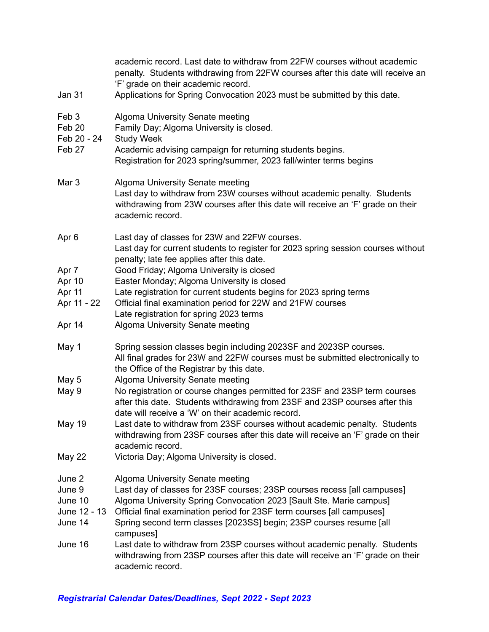| <b>Jan 31</b>                             | academic record. Last date to withdraw from 22FW courses without academic<br>penalty. Students withdrawing from 22FW courses after this date will receive an<br>'F' grade on their academic record.<br>Applications for Spring Convocation 2023 must be submitted by this date. |
|-------------------------------------------|---------------------------------------------------------------------------------------------------------------------------------------------------------------------------------------------------------------------------------------------------------------------------------|
|                                           |                                                                                                                                                                                                                                                                                 |
| Feb <sub>3</sub><br>Feb 20<br>Feb 20 - 24 | Algoma University Senate meeting<br>Family Day; Algoma University is closed.<br><b>Study Week</b>                                                                                                                                                                               |
| Feb 27                                    | Academic advising campaign for returning students begins.<br>Registration for 2023 spring/summer, 2023 fall/winter terms begins                                                                                                                                                 |
| Mar 3                                     | Algoma University Senate meeting<br>Last day to withdraw from 23W courses without academic penalty. Students<br>withdrawing from 23W courses after this date will receive an 'F' grade on their<br>academic record.                                                             |
| Apr <sub>6</sub>                          | Last day of classes for 23W and 22FW courses.<br>Last day for current students to register for 2023 spring session courses without<br>penalty; late fee applies after this date.                                                                                                |
| Apr 7                                     | Good Friday; Algoma University is closed                                                                                                                                                                                                                                        |
| Apr 10                                    | Easter Monday; Algoma University is closed                                                                                                                                                                                                                                      |
| Apr 11                                    | Late registration for current students begins for 2023 spring terms                                                                                                                                                                                                             |
| Apr 11 - 22                               | Official final examination period for 22W and 21FW courses<br>Late registration for spring 2023 terms                                                                                                                                                                           |
| Apr 14                                    | Algoma University Senate meeting                                                                                                                                                                                                                                                |
| May 1                                     | Spring session classes begin including 2023SF and 2023SP courses.<br>All final grades for 23W and 22FW courses must be submitted electronically to<br>the Office of the Registrar by this date.                                                                                 |
| May 5                                     | Algoma University Senate meeting                                                                                                                                                                                                                                                |
| May 9                                     | No registration or course changes permitted for 23SF and 23SP term courses<br>after this date. Students withdrawing from 23SF and 23SP courses after this<br>date will receive a 'W' on their academic record.                                                                  |
| May 19                                    | Last date to withdraw from 23SF courses without academic penalty. Students<br>withdrawing from 23SF courses after this date will receive an 'F' grade on their<br>academic record.                                                                                              |
| <b>May 22</b>                             | Victoria Day; Algoma University is closed.                                                                                                                                                                                                                                      |
| June 2                                    | Algoma University Senate meeting                                                                                                                                                                                                                                                |
| June 9                                    | Last day of classes for 23SF courses; 23SP courses recess [all campuses]                                                                                                                                                                                                        |
| June 10                                   | Algoma University Spring Convocation 2023 [Sault Ste. Marie campus]                                                                                                                                                                                                             |
| June 12 - 13                              | Official final examination period for 23SF term courses [all campuses]                                                                                                                                                                                                          |
| June 14                                   | Spring second term classes [2023SS] begin; 23SP courses resume [all<br>campuses]                                                                                                                                                                                                |
| June 16                                   | Last date to withdraw from 23SP courses without academic penalty. Students<br>withdrawing from 23SP courses after this date will receive an 'F' grade on their<br>academic record.                                                                                              |